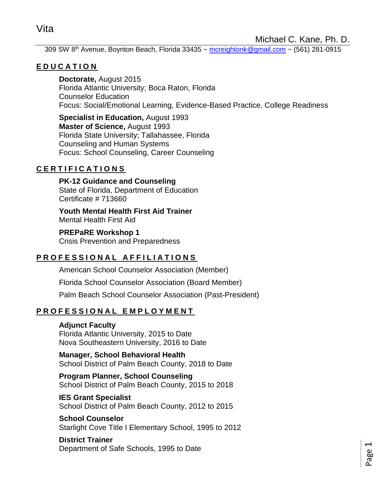Michael C. Kane, Ph. D.

309 SW 8<sup>th</sup> Avenue, Boynton Beach, Florida 33435 ~ [mcreightonk@gmail.com](mailto:mcreightonk@gmail.com) ~ (561) 281-0915

# **E D U C A T I O N**

**Doctorate,** August 2015 Florida Atlantic University; Boca Raton, Florida Counselor Education Focus: Social/Emotional Learning, Evidence-Based Practice, College Readiness

**Specialist in Education,** August 1993 **Master of Science,** August 1993 Florida State University; Tallahassee, Florida Counseling and Human Systems Focus: School Counseling, Career Counseling

# **C E R T I F I C A T I O N S**

**PK-12 Guidance and Counseling** State of Florida, Department of Education Certificate # 713660

**Youth Mental Health First Aid Trainer** Mental Health First Aid

**PREPaRE Workshop 1**

Crisis Prevention and Preparedness

# PROFESSIONAL AFFILIATIONS

American School Counselor Association (Member)

Florida School Counselor Association (Board Member)

Palm Beach School Counselor Association (Past-President)

# **P R O F E S S I O N A L E M P L O Y M E N T**

## **Adjunct Faculty**

Florida Atlantic University, 2015 to Date Nova Southeastern University, 2016 to Date

**Manager, School Behavioral Health** School District of Palm Beach County, 2018 to Date

**Program Planner, School Counseling** School District of Palm Beach County, 2015 to 2018

**IES Grant Specialist** School District of Palm Beach County, 2012 to 2015

**School Counselor** Starlight Cove Title I Elementary School, 1995 to 2012

**District Trainer** Department of Safe Schools, 1995 to Date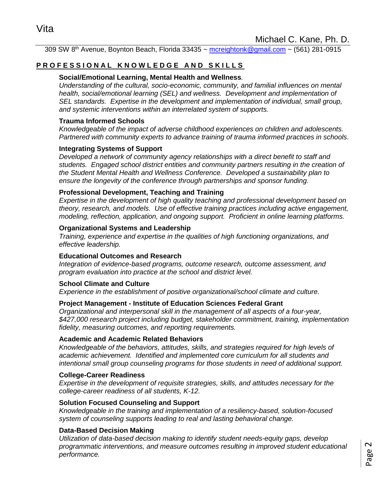309 SW 8<sup>th</sup> Avenue, Boynton Beach, Florida 33435 ~ [mcreightonk@gmail.com](mailto:mcreightonk@gmail.com) ~ (561) 281-0915

# **PROFESSIONAL KNOWLEDGE AND SKILLS**

### **Social/Emotional Learning, Mental Health and Wellness***.*

*Understanding of the cultural, socio-economic, community, and familial influences on mental health, social/emotional learning (SEL) and wellness. Development and implementation of SEL standards. Expertise in the development and implementation of individual, small group, and systemic interventions within an interrelated system of supports.*

#### **Trauma Informed Schools**

*Knowledgeable of the impact of adverse childhood experiences on children and adolescents. Partnered with community experts to advance training of trauma informed practices in schools*.

### **Integrating Systems of Support**

*Developed a network of community agency relationships with a direct benefit to staff and students. Engaged school district entities and community partners resulting in the creation of the Student Mental Health and Wellness Conference. Developed a sustainability plan to ensure the longevity of the conference through partnerships and sponsor funding.*

### **Professional Development, Teaching and Training**

*Expertise in the development of high quality teaching and professional development based on theory, research, and models. Use of effective training practices including active engagement, modeling, reflection, application, and ongoing support. Proficient in online learning platforms.*

#### **Organizational Systems and Leadership**

*Training, experience and expertise in the qualities of high functioning organizations, and effective leadership.*

#### **Educational Outcomes and Research**

*Integration of evidence-based programs, outcome research, outcome assessment, and program evaluation into practice at the school and district level.*

#### **School Climate and Culture**

*Experience in the establishment of positive organizational/school climate and culture.*

#### **Project Management - Institute of Education Sciences Federal Grant**

*Organizational and interpersonal skill in the management of all aspects of a four-year, \$427,000 research project including budget, stakeholder commitment, training, implementation fidelity, measuring outcomes, and reporting requirements.*

#### **Academic and Academic Related Behaviors**

*Knowledgeable of the behaviors, attitudes, skills, and strategies required for high levels of academic achievement. Identified and implemented core curriculum for all students and intentional small group counseling programs for those students in need of additional support.*

#### **College-Career Readiness**

*Expertise in the development of requisite strategies, skills, and attitudes necessary for the college-career readiness of all students, K-12.* 

#### **Solution Focused Counseling and Support**

*Knowledgeable in the training and implementation of a resiliency-based, solution-focused system of counseling supports leading to real and lasting behavioral change.*

#### **Data-Based Decision Making**

*Utilization of data-based decision making to identify student needs-equity gaps, develop programmatic interventions, and measure outcomes resulting in improved student educational performance.*